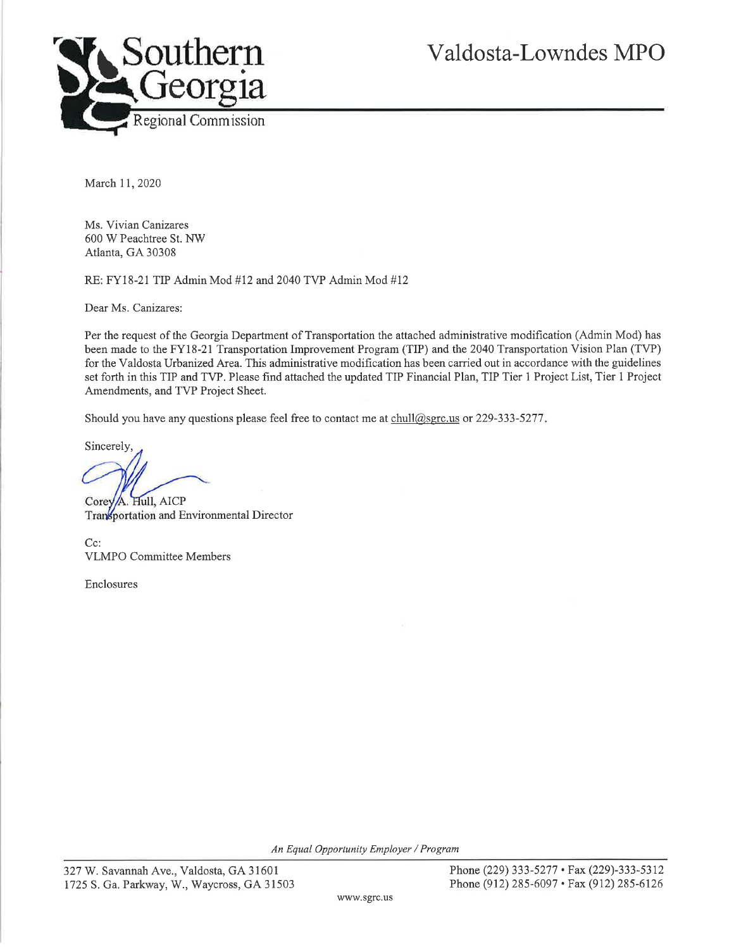

March 11, 2020

Ms. Vivian Canizares 600 W Peachtree St. NW Atlanta, GA 30308

RE: FY18-21 TIP Admin Mod #12 and 2040 TVP Admin Mod #12

Dear Ms. Canizares:

Per the request of the Georgia Department of Transportation the attached administrative modification (Admin Mod) has been made to the FY18-21 Transportation Improvement Program (TIP) and the 2040 Transportation Vision Plan (TVP) for the Valdosta Urbanized Area. This administrative modification has been carried out in accordance with the guidelines set forth in this TIP and TVP. Please find attached the updated TIP Financial Plan, TIP Tier 1 Project List, Tier 1 Project Amendments, and TVP Project Sheet.

Should you have any questions please feel free to contact me at chull@sgrc.us or 229-333-5277.

Sincerely.

A. Hull, AICP Corey Transportation and Environmental Director

Cc: **VLMPO** Committee Members

Enclosures

An Equal Opportunity Employer / Program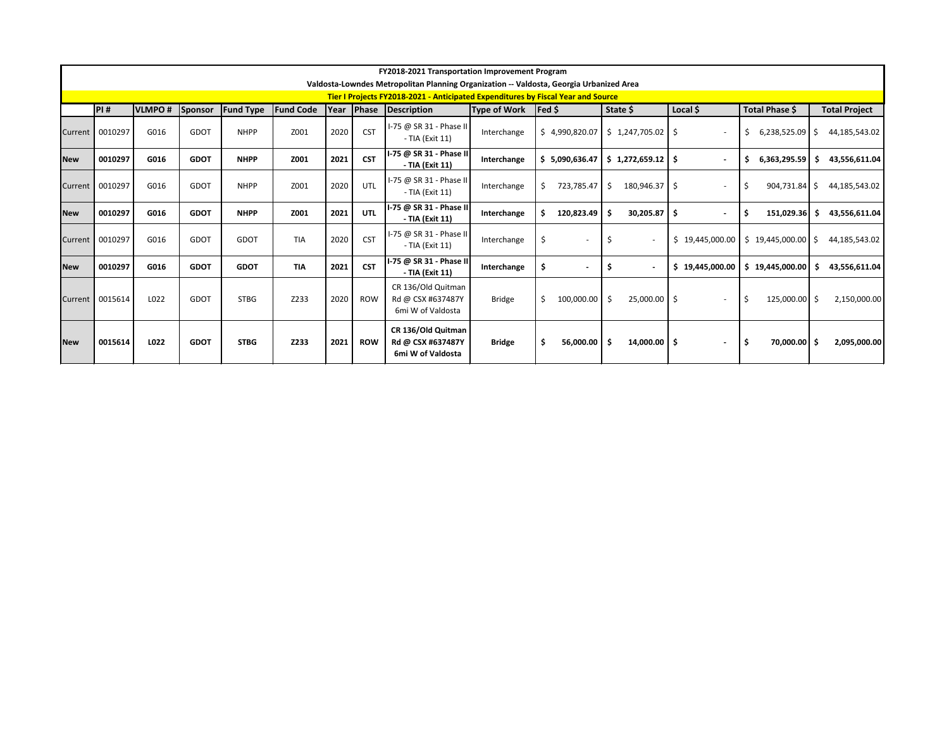|            |                                                                                                                                                                                                |      |             |                  |            |      |            | FY2018-2021 Transportation Improvement Program                                          |               |                      |                                 |                          |                         |                      |
|------------|------------------------------------------------------------------------------------------------------------------------------------------------------------------------------------------------|------|-------------|------------------|------------|------|------------|-----------------------------------------------------------------------------------------|---------------|----------------------|---------------------------------|--------------------------|-------------------------|----------------------|
|            |                                                                                                                                                                                                |      |             |                  |            |      |            | Valdosta-Lowndes Metropolitan Planning Organization -- Valdosta, Georgia Urbanized Area |               |                      |                                 |                          |                         |                      |
|            | Tier I Projects FY2018-2021 - Anticipated Expenditures by Fiscal Year and Source<br>PI#<br><b>VLMPO#</b><br><b>Fund Code</b><br>Year<br><b>Phase Description</b><br>State \$<br>$\textsf{Fed}$ |      |             |                  |            |      |            |                                                                                         |               |                      |                                 |                          |                         |                      |
|            |                                                                                                                                                                                                |      | Sponsor     | <b>Fund Type</b> |            |      |            |                                                                                         | Type of Work  |                      |                                 | Local $$$                | Total Phase \$          | <b>Total Project</b> |
| Current    | 0010297                                                                                                                                                                                        | G016 | GDOT        | <b>NHPP</b>      | Z001       | 2020 | <b>CST</b> | I-75 @ SR 31 - Phase II<br>- TIA (Exit 11)                                              | Interchange   | \$4,990,820.07       | $$1,247,705.02$ $$$             |                          | $6,238,525.09$ \$<br>\$ | 44,185,543.02        |
| <b>New</b> | 0010297                                                                                                                                                                                        | G016 | <b>GDOT</b> | <b>NHPP</b>      | Z001       | 2021 | <b>CST</b> | I-75 @ SR 31 - Phase II<br>- TIA (Exit 11)                                              | Interchange   | \$5,090,636.47       | $$1,272,659.12$ $$$             |                          | Ś.<br>6,363,295.59      | 43,556,611.04        |
| Current    | 0010297                                                                                                                                                                                        | G016 | GDOT        | <b>NHPP</b>      | Z001       | 2020 | UTL        | I-75 @ SR 31 - Phase II<br>- TIA (Exit 11)                                              | Interchange   | Ś.<br>723,785.47     | 180,946.37   \$<br>Ŝ.           |                          | . \$<br>$904,731.84$ \$ | 44,185,543.02        |
| <b>New</b> | 0010297                                                                                                                                                                                        | G016 | <b>GDOT</b> | <b>NHPP</b>      | Z001       | 2021 | <b>UTL</b> | I-75 @ SR 31 - Phase II<br>- TIA (Exit 11)                                              | Interchange   | 120,823.49           | $30,205.87$   \$                | $\blacksquare$           | 151,029.36<br>-\$       | 43,556,611.04        |
| Current    | 0010297                                                                                                                                                                                        | G016 | <b>GDOT</b> | <b>GDOT</b>      | <b>TIA</b> | 2020 | <b>CST</b> | I-75 @ SR 31 - Phase II<br>- TIA (Exit 11)                                              | Interchange   | \$<br>$\blacksquare$ |                                 | \$19,445,000.00          | $$19,445,000.00$ $$$    | 44,185,543.02        |
| <b>New</b> | 0010297                                                                                                                                                                                        | G016 | <b>GDOT</b> | <b>GDOT</b>      | <b>TIA</b> | 2021 | <b>CST</b> | I-75 @ SR 31 - Phase II <br>- TIA (Exit 11)                                             | Interchange   | \$                   |                                 | \$19,445,000.00          | \$19,445,000.00         | 43,556,611.04        |
| Current    | 0015614                                                                                                                                                                                        | L022 | GDOT        | <b>STBG</b>      | Z233       | 2020 | <b>ROW</b> | CR 136/Old Quitman<br>Rd @ CSX #637487Y<br>6mi W of Valdosta                            | <b>Bridge</b> | \$<br>100,000.00     | $25,000.00$ $\frac{1}{5}$<br>S. | $\overline{\phantom{a}}$ | -\$<br>$125,000.00$ \$  | 2,150,000.00         |
| <b>New</b> | 0015614                                                                                                                                                                                        | L022 | <b>GDOT</b> | <b>STBG</b>      | Z233       | 2021 | <b>ROW</b> | CR 136/Old Quitman<br>Rd @ CSX #637487Y<br>6mi W of Valdosta                            | <b>Bridge</b> | Ŝ.<br>56,000.00      | $14,000.00$   \$                | $\blacksquare$           | -\$<br>$70,000.00$ \$   | 2,095,000.00         |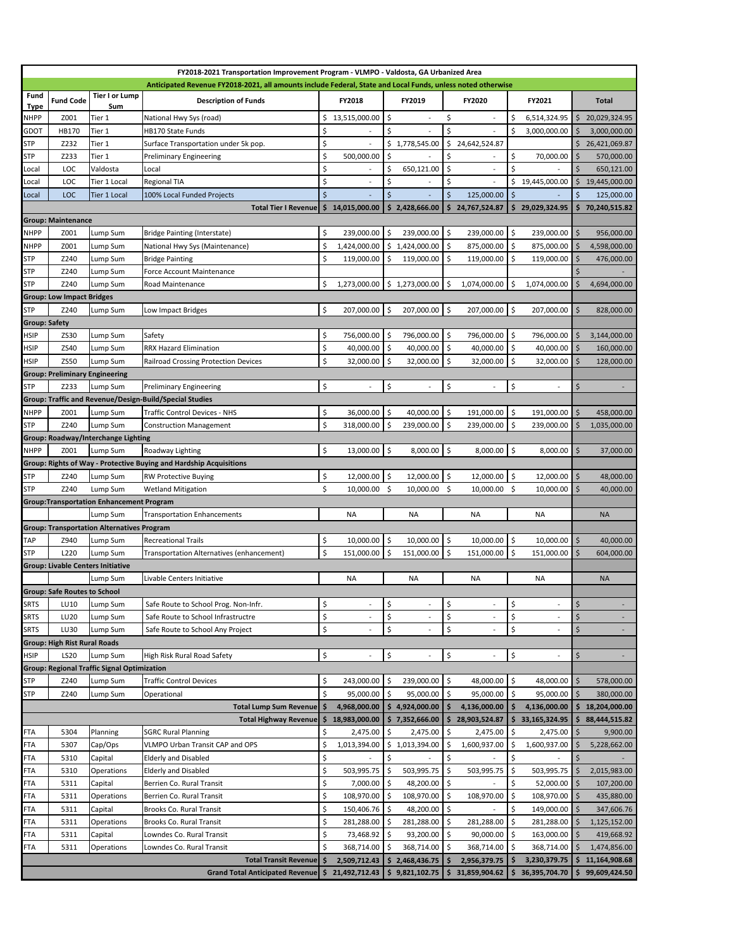| FY2018-2021 Transportation Improvement Program - VLMPO - Valdosta, GA Urbanized Area |                                       |                                                    |                                                                                                                                                                                                           |                    |                 |     |                |                          |               |                          |               |              |                 |
|--------------------------------------------------------------------------------------|---------------------------------------|----------------------------------------------------|-----------------------------------------------------------------------------------------------------------------------------------------------------------------------------------------------------------|--------------------|-----------------|-----|----------------|--------------------------|---------------|--------------------------|---------------|--------------|-----------------|
|                                                                                      |                                       |                                                    | Anticipated Revenue FY2018-2021, all amounts include Federal, State and Local Funds, unless noted otherwise                                                                                               |                    |                 |     |                |                          |               |                          |               |              |                 |
| Fund<br><u>Type</u>                                                                  | <b>Fund Code</b>                      | Tier I or Lump<br>Sum                              | <b>Description of Funds</b>                                                                                                                                                                               |                    | FY2018          |     | FY2019         |                          | <b>FY2020</b> |                          | FY2021        |              | <b>Total</b>    |
| <b>NHPP</b>                                                                          | Z001                                  | Tier 1                                             | National Hwy Sys (road)                                                                                                                                                                                   | Ś.                 | 13,515,000.00   | \$  |                | \$                       |               | \$                       | 6,514,324.95  | Ŝ.           | 20,029,324.95   |
| GDOT                                                                                 | HB170                                 | Tier 1                                             | <b>HB170 State Funds</b>                                                                                                                                                                                  | \$                 |                 | \$  |                | \$                       |               | \$                       | 3,000,000.00  |              | 3,000,000.00    |
| <b>STP</b>                                                                           | Z232                                  | Tier 1                                             | Surface Transportation under 5k pop.                                                                                                                                                                      | \$                 |                 |     | \$1,778,545.00 | \$                       | 24,642,524.87 |                          |               |              | \$26,421,069.87 |
| <b>STP</b>                                                                           | Z233                                  | Tier 1                                             | <b>Preliminary Engineering</b>                                                                                                                                                                            | \$                 | 500,000.00      | \$  |                | \$                       |               | \$                       | 70,000.00     | \$.          | 570,000.00      |
| Local                                                                                | LOC                                   | Valdosta                                           | Local                                                                                                                                                                                                     | \$                 |                 | \$  | 650,121.00     | \$                       |               | \$                       |               | Ś            | 650,121.00      |
| Local                                                                                | LOC                                   | Tier 1 Local                                       | <b>Regional TIA</b>                                                                                                                                                                                       | \$                 |                 | \$  |                | \$                       |               | \$                       | 19,445,000.00 | Ś.           | 19,445,000.00   |
| Local                                                                                | <b>LOC</b>                            | Tier 1 Local                                       | 100% Local Funded Projects                                                                                                                                                                                | $\mathsf{\dot{S}}$ |                 | Ś.  |                | $\zeta$                  | 125,000.00    | $\zeta$                  |               | Ś.           | 125,000.00      |
|                                                                                      |                                       |                                                    | <b>Total Tier I Revenue</b>                                                                                                                                                                               |                    | \$14,015,000.00 |     | \$2,428,666.00 | Ś.                       | 24,767,524.87 | Ŝ                        | 29,029,324.95 | Ś.           | 70,240,515.82   |
|                                                                                      | <b>Group: Maintenance</b>             |                                                    |                                                                                                                                                                                                           |                    |                 |     |                |                          |               |                          |               |              |                 |
| <b>NHPP</b>                                                                          | Z001                                  | Lump Sum                                           | <b>Bridge Painting (Interstate)</b>                                                                                                                                                                       | \$                 | 239,000.00      | \$  | 239,000.00     | $\ddot{\phi}$            | 239,000.00    | \$                       | 239,000.00    | Ś            | 956,000.00      |
| <b>NHPP</b>                                                                          | Z001                                  | Lump Sum                                           | National Hwy Sys (Maintenance)                                                                                                                                                                            | \$                 | 1,424,000.00    |     | \$1,424,000.00 | \$                       | 875,000.00    | \$                       | 875,000.00    | Ŝ            | 4,598,000.00    |
| <b>STP</b>                                                                           | Z240                                  | Lump Sum                                           | <b>Bridge Painting</b>                                                                                                                                                                                    | \$                 | 119,000.00      | \$  | 119,000.00     | \$                       | 119,000.00    | \$                       | 119,000.00    | \$           | 476,000.00      |
| <b>STP</b>                                                                           | Z240                                  | Lump Sum                                           | Force Account Maintenance                                                                                                                                                                                 |                    |                 |     |                |                          |               |                          |               | Ś            |                 |
| <b>STP</b>                                                                           | Z240                                  | Lump Sum                                           | Road Maintenance                                                                                                                                                                                          | \$                 | 1,273,000.00    |     | \$1,273,000.00 | \$                       | 1,074,000.00  | -\$                      | 1,074,000.00  |              | 4,694,000.00    |
|                                                                                      | <b>Group: Low Impact Bridges</b>      |                                                    |                                                                                                                                                                                                           |                    |                 |     |                |                          |               |                          |               |              |                 |
| <b>STP</b>                                                                           | Z240                                  | Lump Sum                                           | Low Impact Bridges                                                                                                                                                                                        | \$                 | 207,000.00      | \$  | 207,000.00 \$  |                          | 207,000.00    | \$                       | 207,000.00    | Ś.           | 828,000.00      |
| <b>Group: Safety</b>                                                                 |                                       |                                                    |                                                                                                                                                                                                           |                    |                 |     |                |                          |               |                          |               |              |                 |
| <b>HSIP</b>                                                                          | ZS30                                  | Lump Sum                                           | Safety                                                                                                                                                                                                    | \$                 | 756,000.00      | \$  | 796,000.00     | $\ddot{\mathsf{S}}$      | 796,000.00    | $\zeta$                  | 796,000.00    | Ś            | 3,144,000.00    |
| <b>HSIP</b>                                                                          | ZS40                                  | Lump Sum                                           | <b>RRX Hazard Elimination</b>                                                                                                                                                                             | \$                 | 40,000.00       | \$  | 40,000.00      | $\ddot{\mathsf{S}}$      | 40,000.00     | \$                       | 40,000.00     | \$           | 160,000.00      |
| <b>HSIP</b>                                                                          | ZS50                                  | Lump Sum                                           | Railroad Crossing Protection Devices                                                                                                                                                                      | \$                 | 32,000.00       | Ŝ.  | 32,000.00      | Ŝ.                       | 32,000.00     | S.                       | 32,000.00     | \$.          | 128,000.00      |
|                                                                                      | <b>Group: Preliminary Engineering</b> |                                                    |                                                                                                                                                                                                           |                    |                 |     |                |                          |               |                          |               |              |                 |
| <b>STP</b>                                                                           | Z233                                  | Lump Sum                                           | <b>Preliminary Engineering</b>                                                                                                                                                                            | \$                 |                 | \$  |                | $\boldsymbol{\zeta}$     |               | \$                       | $\sim$        | \$           |                 |
|                                                                                      |                                       |                                                    | Group: Traffic and Revenue/Design-Build/Special Studies                                                                                                                                                   |                    |                 |     |                |                          |               |                          |               |              |                 |
| <b>NHPP</b>                                                                          | Z001                                  | Lump Sum                                           | <b>Traffic Control Devices - NHS</b>                                                                                                                                                                      | \$                 | 36,000.00       | \$  | 40,000.00      | \$                       | 191,000.00    | \$                       | 191,000.00    | Ś            | 458,000.00      |
| <b>STP</b>                                                                           | Z240                                  | Lump Sum                                           | <b>Construction Management</b>                                                                                                                                                                            | \$                 | 318,000.00      | Ŝ.  | 239,000.00     | $\ddot{\mathsf{S}}$      | 239,000.00    | S.                       | 239,000.00    | <sup>S</sup> | 1,035,000.00    |
|                                                                                      |                                       | <b>Group: Roadway/Interchange Lighting</b>         |                                                                                                                                                                                                           |                    |                 |     |                |                          |               |                          |               |              |                 |
| <b>NHPP</b>                                                                          | Z001                                  | Lump Sum                                           | Roadway Lighting                                                                                                                                                                                          | \$                 | 13,000.00       | \$  | $8,000.00$ \$  |                          | $8,000.00$ \$ |                          | 8,000.00      | \$           | 37,000.00       |
|                                                                                      |                                       |                                                    | Group: Rights of Way - Protective Buying and Hardship Acquisitions                                                                                                                                        |                    |                 |     |                |                          |               |                          |               |              |                 |
| <b>STP</b>                                                                           | Z240                                  | Lump Sum                                           | <b>RW Protective Buying</b>                                                                                                                                                                               | \$                 | 12,000.00 \$    |     | 12,000.00      | $\sqrt{5}$               | 12,000.00     | $\overline{\phantom{a}}$ | 12,000.00     | \$           | 48,000.00       |
|                                                                                      |                                       |                                                    |                                                                                                                                                                                                           |                    |                 |     |                |                          |               |                          |               |              |                 |
| <b>STP</b>                                                                           | Z240                                  | Lump Sum                                           | <b>Wetland Mitigation</b>                                                                                                                                                                                 | \$                 | $10,000.00$ \$  |     | $10,000.00$ \$ |                          | 10,000.00 \$  |                          | 10,000.00     | \$           | 40,000.00       |
|                                                                                      |                                       | <b>Group:Transportation Enhancement Program</b>    |                                                                                                                                                                                                           |                    |                 |     |                |                          |               |                          |               |              |                 |
|                                                                                      |                                       | Lump Sum                                           | <b>Transportation Enhancements</b>                                                                                                                                                                        |                    | <b>NA</b>       |     | <b>NA</b>      |                          | <b>NA</b>     |                          | <b>NA</b>     |              | <b>NA</b>       |
|                                                                                      |                                       | <b>Group: Transportation Alternatives Program</b>  |                                                                                                                                                                                                           |                    |                 |     |                |                          |               |                          |               |              |                 |
| <b>TAP</b>                                                                           | Z940                                  | Lump Sum                                           | <b>Recreational Trails</b>                                                                                                                                                                                | \$                 | 10,000.00       | \$  | 10,000.00      | $\ddot{\varsigma}$       | 10,000.00     | \$                       | 10,000.00     | \$           | 40,000.00       |
| <b>STP</b>                                                                           | L220                                  | Lump Sum                                           | Transportation Alternatives (enhancement)                                                                                                                                                                 | \$                 | 151,000.00 \$   |     | 151,000.00     | $\overline{\phantom{a}}$ | 151,000.00 \$ |                          | 151,000.00    | \$           | 604,000.00      |
|                                                                                      |                                       | <b>Group: Livable Centers Initiative</b>           |                                                                                                                                                                                                           |                    |                 |     |                |                          |               |                          |               |              |                 |
|                                                                                      |                                       | Lump Sum                                           | Livable Centers Initiative                                                                                                                                                                                |                    | <b>NA</b>       |     | <b>NA</b>      |                          | <b>NA</b>     |                          | <b>NA</b>     |              | <b>NA</b>       |
|                                                                                      | <b>Group: Safe Routes to School</b>   |                                                    |                                                                                                                                                                                                           |                    |                 |     |                |                          |               |                          |               |              |                 |
| <b>SRTS</b>                                                                          | LU10                                  | Lump Sum                                           | Safe Route to School Prog. Non-Infr.                                                                                                                                                                      | \$                 | $\overline{a}$  | \$  |                | \$                       | ä,            | \$                       |               | \$           | ۰.              |
| <b>SRTS</b>                                                                          | LU20                                  | Lump Sum                                           | Safe Route to School Infrastructre                                                                                                                                                                        | \$                 | $\sim$          | \$  |                | \$                       |               | \$                       |               | \$           |                 |
| <b>SRTS</b>                                                                          | LU30                                  | Lump Sum                                           | Safe Route to School Any Project                                                                                                                                                                          | \$                 |                 | \$  |                | \$                       |               | \$                       |               | \$           |                 |
|                                                                                      | <b>Group: High Rist Rural Roads</b>   |                                                    |                                                                                                                                                                                                           |                    |                 |     |                |                          |               |                          |               |              |                 |
| <b>HSIP</b>                                                                          | <b>LS20</b>                           | Lump Sum                                           | High Risk Rural Road Safety                                                                                                                                                                               | \$                 | L,              | \$  |                | \$                       |               | \$                       |               | \$           |                 |
|                                                                                      |                                       | <b>Group: Regional Traffic Signal Optimization</b> |                                                                                                                                                                                                           |                    |                 |     |                |                          |               |                          |               |              |                 |
| <b>STP</b>                                                                           | Z240                                  | Lump Sum                                           | <b>Traffic Control Devices</b>                                                                                                                                                                            | \$                 | 243,000.00      | \$  | 239,000.00     | $\ddot{\mathsf{S}}$      | 48,000.00     | \$                       | 48,000.00     | $\zeta$      | 578,000.00      |
| <b>STP</b>                                                                           | Z240                                  | Lump Sum                                           | Operational                                                                                                                                                                                               | Ś.                 | 95,000.00       | \$  | 95,000.00      | $\ddot{\mathsf{S}}$      | 95,000.00     | $\ddot{\mathsf{S}}$      | 95,000.00     | Ś            | 380,000.00      |
|                                                                                      |                                       |                                                    | <b>Total Lump Sum Revenue</b>                                                                                                                                                                             |                    | 4,968,000.00    |     | \$4,924,000.00 | S                        | 4,136,000.00  |                          | 4,136,000.00  |              | 18,204,000.00   |
|                                                                                      |                                       |                                                    | <b>Total Highway Revenue</b>                                                                                                                                                                              | \$                 | 18,983,000.00   |     | \$7,352,666.00 |                          | 28,903,524.87 | Ś                        | 33,165,324.95 |              | 88,444,515.82   |
| <b>FTA</b>                                                                           | 5304                                  | Planning                                           | <b>SGRC Rural Planning</b>                                                                                                                                                                                | \$                 | 2,475.00        | \$  | 2,475.00       | $\overline{\phantom{a}}$ | 2,475.00      | $\zeta$                  | 2,475.00      | Ś            | 9,900.00        |
| <b>FTA</b>                                                                           | 5307                                  | Cap/Ops                                            | VLMPO Urban Transit CAP and OPS                                                                                                                                                                           | \$                 | 1,013,394.00    |     | \$1,013,394.00 | \$                       | 1,600,937.00  | \$.                      | 1,600,937.00  | Ś            | 5,228,662.00    |
| FTA                                                                                  | 5310                                  | Capital                                            | <b>Elderly and Disabled</b>                                                                                                                                                                               | \$                 |                 | \$  |                | \$                       |               | \$                       |               | Ś            |                 |
| FTA                                                                                  | 5310                                  | Operations                                         | <b>Elderly and Disabled</b>                                                                                                                                                                               | \$                 | 503,995.75      | \$. | 503,995.75     | \$                       | 503,995.75    | \$                       | 503,995.75    |              | 2,015,983.00    |
| FTA                                                                                  | 5311                                  | Capital                                            | Berrien Co. Rural Transit                                                                                                                                                                                 | \$                 | 7,000.00        | \$  | 48,200.00      | $\ddot{\mathsf{S}}$      |               | \$                       | 52,000.00     | \$           | 107,200.00      |
| <b>FTA</b>                                                                           | 5311                                  | Operations                                         | Berrien Co. Rural Transit                                                                                                                                                                                 | \$                 | 108,970.00      | \$  | 108,970.00     | \$                       | 108,970.00    | \$                       | 108,970.00    | \$           | 435,880.00      |
| <b>FTA</b>                                                                           | 5311                                  | Capital                                            | Brooks Co. Rural Transit                                                                                                                                                                                  | \$                 | 150,406.76 \$   |     | 48,200.00      | $\ddot{\mathsf{S}}$      |               | \$                       | 149,000.00    | Š.           | 347,606.76      |
| FTA                                                                                  | 5311                                  | Operations                                         | <b>Brooks Co. Rural Transit</b>                                                                                                                                                                           | \$                 | 281,288.00      | S.  | 281,288.00     | \$                       | 281,288.00    | \$                       | 281,288.00    | Ś            | 1,125,152.00    |
| <b>FTA</b>                                                                           | 5311                                  | Capital                                            | Lowndes Co. Rural Transit                                                                                                                                                                                 | \$                 | 73,468.92       | \$  | 93,200.00      | \$                       | 90,000.00     | \$                       | 163,000.00    | .S           | 419,668.92      |
| <b>FTA</b>                                                                           | 5311                                  | Operations                                         | Lowndes Co. Rural Transit                                                                                                                                                                                 |                    | 368,714.00      | \$  | 368,714.00     | \$                       | 368,714.00    | \$                       | 368,714.00    |              | 1,474,856.00    |
|                                                                                      |                                       |                                                    | Total Transit Revenue $\begin{vmatrix} 5 & 2,509,712.43 \end{vmatrix}$ \$ 2,468,436.75 $\begin{vmatrix} 5 & 2,956,379.75 \end{vmatrix}$ \$ 3,230,379.75 $\begin{vmatrix} 5 & 11,164,908.68 \end{vmatrix}$ |                    |                 |     |                |                          |               |                          |               |              |                 |
|                                                                                      |                                       |                                                    | Grand Total Anticipated Revenue \$ 21,492,712.43 \$ 9,821,102.75 \$ 31,859,904.62 \$ 36,395,704.70 \$ 99,609,424.50                                                                                       |                    |                 |     |                |                          |               |                          |               |              |                 |
|                                                                                      |                                       |                                                    |                                                                                                                                                                                                           |                    |                 |     |                |                          |               |                          |               |              |                 |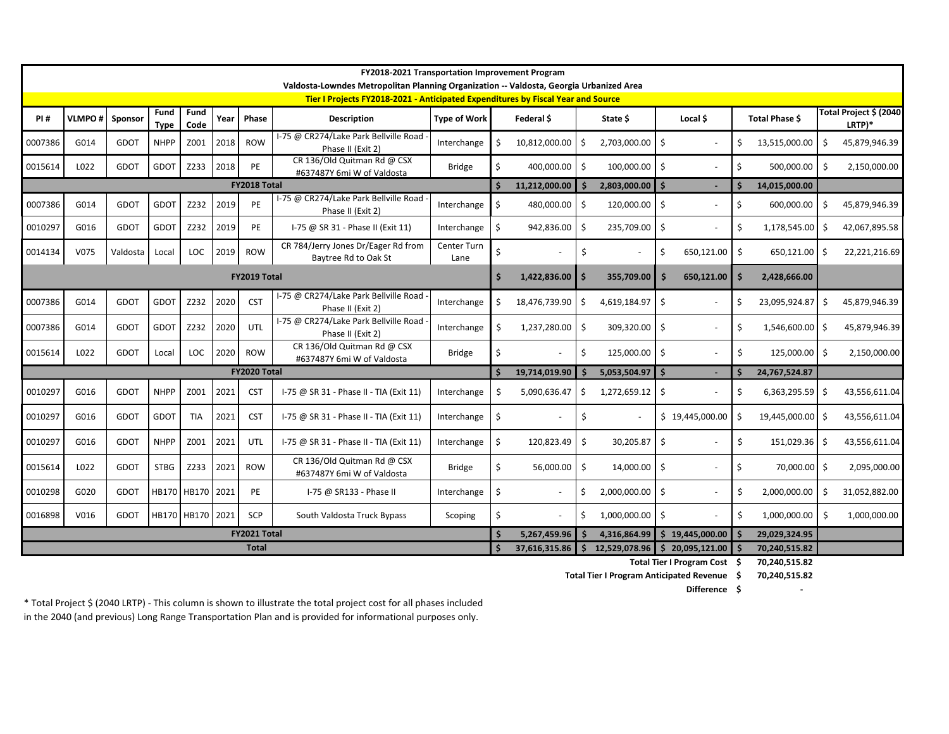|         | <b>FY2018-2021 Transportation Improvement Program</b><br>Valdosta-Lowndes Metropolitan Planning Organization -- Valdosta, Georgia Urbanized Area |             |                     |                  |      |                     |                                                                                  |                     |                    |               |                     |                          |                                |    |                  |         |                                  |
|---------|--------------------------------------------------------------------------------------------------------------------------------------------------|-------------|---------------------|------------------|------|---------------------|----------------------------------------------------------------------------------|---------------------|--------------------|---------------|---------------------|--------------------------|--------------------------------|----|------------------|---------|----------------------------------|
|         |                                                                                                                                                  |             |                     |                  |      |                     | Tier I Projects FY2018-2021 - Anticipated Expenditures by Fiscal Year and Source |                     |                    |               |                     |                          |                                |    |                  |         |                                  |
| PI#     | <b>VLMPO#</b>                                                                                                                                    | Sponsor     | Fund<br><b>Type</b> | Fund<br>Code     | Year | <b>Phase</b>        | <b>Description</b>                                                               | Type of Work        |                    | Federal \$    |                     | State \$                 | Local \$                       |    | Total Phase \$   |         | Total Project \$ (2040<br>LRTP)* |
| 0007386 | G014                                                                                                                                             | GDOT        | <b>NHPP</b>         | Z001             | 2018 | <b>ROW</b>          | I-75 @ CR274/Lake Park Bellville Road<br>Phase II (Exit 2)                       | Interchange         | Ś.                 | 10,812,000.00 | S,                  | 2,703,000.00             | -Ś                             | Ś. | 13,515,000.00    | Ŝ.      | 45,879,946.39                    |
| 0015614 | L022                                                                                                                                             | <b>GDOT</b> | GDOT                | Z233             | 2018 | PE                  | CR 136/Old Quitman Rd @ CSX<br>#637487Y 6mi W of Valdosta                        | <b>Bridge</b>       | \$                 | 400,000.00    | $\ddot{\mathsf{S}}$ | 100,000.00               | \$                             | \$ | 500,000.00       | $\zeta$ | 2,150,000.00                     |
|         |                                                                                                                                                  |             |                     |                  |      | FY2018 Total        |                                                                                  |                     | $\zeta$            | 11,212,000.00 | .S                  | 2,803,000.00             | I\$                            |    | 14,015,000.00    |         |                                  |
| 0007386 | G014                                                                                                                                             | <b>GDOT</b> | GDOT                | Z232             | 2019 | <b>PE</b>           | I-75 @ CR274/Lake Park Bellville Road<br>Phase II (Exit 2)                       | Interchange         | $\zeta$            | 480,000.00    | Ŝ.                  | 120,000.00               | \$                             | \$ | 600,000.00       | Ŝ.      | 45,879,946.39                    |
| 0010297 | G016                                                                                                                                             | <b>GDOT</b> | GDOT                | Z232             | 2019 | PE                  | I-75 @ SR 31 - Phase II (Exit 11)                                                | Interchange         | \$                 | 942,836.00    | S.                  | 235,709.00               | $\ddot{\mathsf{s}}$            | \$ | 1,178,545.00     | \$      | 42,067,895.58                    |
| 0014134 | V075                                                                                                                                             | Valdosta    | Local               | LOC              | 2019 | <b>ROW</b>          | CR 784/Jerry Jones Dr/Eager Rd from<br>Baytree Rd to Oak St                      | Center Turn<br>Lane | Ś.                 |               | \$                  | $\overline{\phantom{a}}$ | \$<br>650,121.00               | \$ | $650,121.00$ \$  |         | 22,221,216.69                    |
|         |                                                                                                                                                  |             |                     |                  |      | FY2019 Total        |                                                                                  |                     | \$                 | 1,422,836.00  | -S                  | 355,709.00               | 650,121.00<br><b>S</b>         | \$ | 2,428,666.00     |         |                                  |
| 0007386 | G014                                                                                                                                             | GDOT        | <b>GDOT</b>         | Z232             | 2020 | <b>CST</b>          | I-75 @ CR274/Lake Park Bellville Road<br>Phase II (Exit 2)                       | Interchange         | Ś                  | 18,476,739.90 | Ŝ.                  | 4,619,184.97             | - Ś                            | \$ | 23,095,924.87    | Ś.      | 45,879,946.39                    |
| 0007386 | G014                                                                                                                                             | GDOT        | <b>GDOT</b>         | Z232             | 2020 | UTL                 | I-75 @ CR274/Lake Park Bellville Road<br>Phase II (Exit 2)                       | Interchange         | \$                 | 1,237,280.00  | Ŝ.                  | 309,320.00               | -\$                            | Ŝ  | 1,546,600.00     | \$.     | 45,879,946.39                    |
| 0015614 | L022                                                                                                                                             | GDOT        | Local               | LOC              | 2020 | <b>ROW</b>          | CR 136/Old Quitman Rd @ CSX<br>#637487Y 6mi W of Valdosta                        | <b>Bridge</b>       | \$                 |               | Ŝ.                  | 125,000.00 \$            |                                | \$ | 125,000.00       | Ŝ.      | 2,150,000.00                     |
|         |                                                                                                                                                  |             |                     |                  |      | <b>FY2020 Total</b> |                                                                                  |                     |                    | 19,714,019.90 |                     | $5,053,504.97$ \$        |                                |    | 24,767,524.87    |         |                                  |
| 0010297 | G016                                                                                                                                             | GDOT        | <b>NHPP</b>         | Z001             | 2021 | <b>CST</b>          | I-75 @ SR 31 - Phase II - TIA (Exit 11)                                          | Interchange         | -Ś                 | 5,090,636.47  | Ŝ.                  | $1,272,659.12$ \$        |                                | .S | 6,363,295.59     | \$.     | 43,556,611.04                    |
| 0010297 | G016                                                                                                                                             | <b>GDOT</b> | <b>GDOT</b>         | TIA              | 2021 | <b>CST</b>          | I-75 @ SR 31 - Phase II - TIA (Exit 11)                                          | Interchange         | \$                 |               | \$                  | $\overline{\phantom{a}}$ | \$19,445,000.00                |    | 19,445,000.00 \$ |         | 43,556,611.04                    |
| 0010297 | G016                                                                                                                                             | <b>GDOT</b> | <b>NHPP</b>         | Z001             | 2021 | UTL                 | I-75 @ SR 31 - Phase II - TIA (Exit 11)                                          | Interchange         | \$                 | 120,823.49    | $\zeta$             | 30,205.87                | \$                             | \$ | 151,029.36       | Ŝ.      | 43,556,611.04                    |
| 0015614 | L022                                                                                                                                             | GDOT        | <b>STBG</b>         | Z233             | 2021 | <b>ROW</b>          | CR 136/Old Quitman Rd @ CSX<br>#637487Y 6mi W of Valdosta                        | <b>Bridge</b>       | \$                 | 56,000.00     | \$                  | $14,000.00$ \$           |                                | \$ | 70,000.00 \$     |         | 2,095,000.00                     |
| 0010298 | G020                                                                                                                                             | GDOT        |                     | HB170 HB170 2021 |      | PE                  | I-75 @ SR133 - Phase II                                                          | Interchange         | $\zeta$            |               | Ŝ.                  | 2,000,000.00 \$          |                                | \$ | 2,000,000.00     | Ŝ.      | 31,052,882.00                    |
| 0016898 | V016                                                                                                                                             | <b>GDOT</b> |                     | HB170 HB170 2021 |      | <b>SCP</b>          | South Valdosta Truck Bypass                                                      | Scoping             | \$                 |               | Ŝ.                  | 1,000,000.00             | Ŝ.                             | \$ | 1,000,000.00     | Ŝ.      | 1,000,000.00                     |
|         |                                                                                                                                                  |             |                     |                  |      | FY2021 Total        |                                                                                  |                     | $\mathsf{\hat{S}}$ | 5,267,459.96  | S                   | 4,316,864.99             | $\frac{1}{2}$ \$ 19,445,000.00 |    | 29,029,324.95    |         |                                  |
|         | <b>Total</b>                                                                                                                                     |             |                     |                  |      |                     |                                                                                  |                     |                    | 37,616,315.86 | S.                  |                          | 12,529,078.96 \$20,095,121.00  |    | 70,240,515.82    |         |                                  |

**\$ 70,240,515.82 Total Tier I Program Cost**

**\$ 70,240,515.82 Total Tier I Program Anticipated Revenue**

**Difference**

**\$ -**

\* Total Project \$ (2040 LRTP) - This column is shown to illustrate the total project cost for all phases included in the 2040 (and previous) Long Range Transportation Plan and is provided for informational purposes only.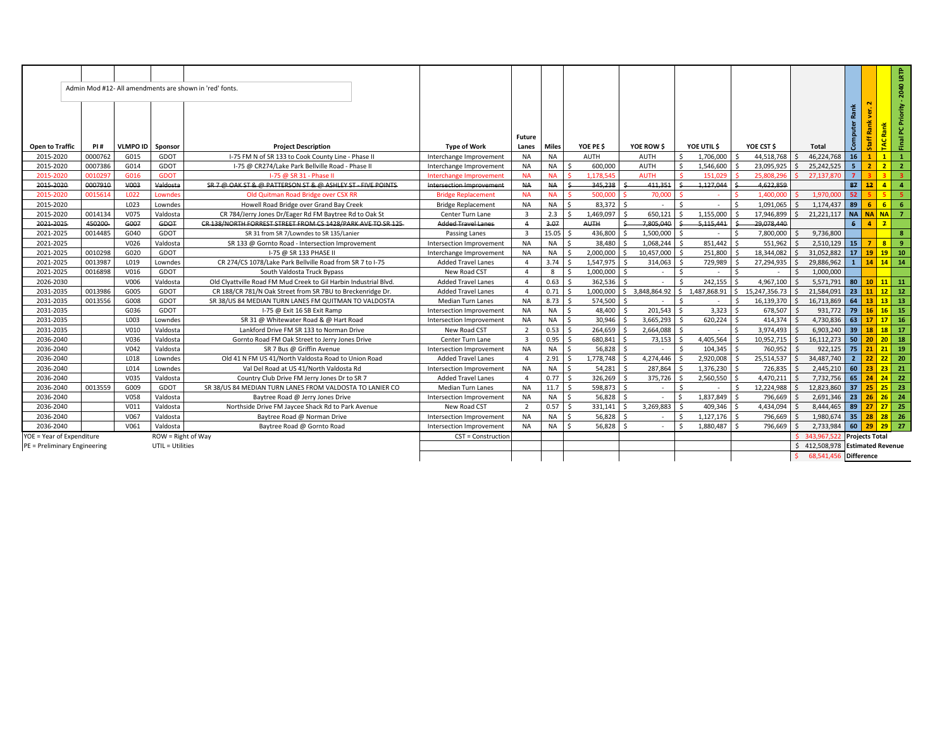|                              |            |                  |                    | Admin Mod #12- All amendments are shown in 'red' fonts.          |                           |                         |           |                        |                |                  |                                 |                             |                  |                          |                                                     |                               |
|------------------------------|------------|------------------|--------------------|------------------------------------------------------------------|---------------------------|-------------------------|-----------|------------------------|----------------|------------------|---------------------------------|-----------------------------|------------------|--------------------------|-----------------------------------------------------|-------------------------------|
| <b>Open to Traffic</b>       | <b>PI#</b> | VLMPO ID I       | Sponsor            | <b>Project Description</b>                                       | <b>Type of Work</b>       | <b>Future</b><br>Lanes  | Miles     | YOE PE \$              | YOE ROW \$     | YOE UTIL \$      | YOE CST \$                      | <b>Total</b>                | Rank<br>Computer | å<br>툿                   | TAC Rank                                            | Final PC Priority - 2040 LRTP |
| 2015-2020                    | 0000762    | G015             | GDOT               | I-75 FM N of SR 133 to Cook County Line - Phase II               | Interchange Improvement   | <b>NA</b>               | <b>NA</b> | AUTH                   | <b>AUTH</b>    | 1,706,000<br>Ś.  | 44,518,768                      | 46.224.768                  | 16               |                          | $\mathbf{1}$                                        | $\mathbf{1}$                  |
| 2015-2020                    | 0007386    | G014             | GDOT               | I-75 @ CR274/Lake Park Bellville Road - Phase II                 | Interchange Improvement   | <b>NA</b>               | <b>NA</b> | S.<br>600,000          | <b>AUTH</b>    | Ś.<br>1,546,600  | 23,095,925<br>Ŝ.                | 25,242,525<br>S.            | 5 <sup>2</sup>   | 2 <sup>1</sup>           | $\overline{2}$                                      | $\overline{2}$                |
| 2015-2020                    | 0010297    | G016             | <b>GDOT</b>        | I-75 @ SR 31 - Phase I                                           | Interchange Improvement   | <b>NA</b>               | <b>NA</b> | 1.178.545              | <b>AUTH</b>    | 151.029          | 25.808.296                      | 27.137.870                  | $\overline{7}$   |                          | $\overline{3}$                                      | $\overline{3}$                |
| 2015-2020                    | 0007910    | V003             | Valdosta           | SR 7 @ OAK ST & @ PATTERSON ST & @ ASHLEY ST - FIVE POINTS-      | Intersection Improvement  | AA                      | <b>NA</b> | 345,238                | 411,351        | 1,127,044        | 4,622,859                       |                             | 87               | 12 <sup>1</sup>          | $\frac{4}{ }$                                       | $\blacktriangleleft$          |
| 2015-2020                    | 001561     | L022             | Lowndes            | Old Quitman Road Bridge over CSX RR                              | <b>Bridge Replacement</b> | <b>NA</b>               | <b>NA</b> | 500,000                | 70,000         |                  | 1,400,000                       | 1.970.000                   | 52               |                          | -51                                                 | -5                            |
| 2015-2020                    |            | L023             | Lowndes            | Howell Road Bridge over Grand Bay Creek                          | <b>Bridge Replacement</b> | <b>NA</b>               | <b>NA</b> | 83.372                 |                |                  | 1.091.065                       | 1.174.437                   | 89               | 6.                       | 6 <sup>1</sup>                                      | -6                            |
| 2015-2020                    | 0014134    | V075             | Valdosta           | CR 784/Jerry Jones Dr/Eager Rd FM Baytree Rd to Oak St           | Center Turn Lane          | $\overline{\mathbf{3}}$ | 2.3       | 1,469,097              | 650,121        | 1,155,000        | 17,946,899                      | 21,221,117<br><             | <b>NA</b>        | NANA 7                   |                                                     |                               |
| 2021-2025                    | 450200     | G007             | GDOT               | CR 138/NORTH FORREST STREET FROM CS 1428/PARK AVE TO SR 125      | Added Travel Lanes        | $\overline{4}$          | 3.07      | <b>AUTH</b>            | 7.805.040      | 5,115,441        | 29,078,440                      |                             | 6 <sup>1</sup>   | 4 <sup>1</sup>           | $\mathbf{z}$                                        |                               |
| 2021-2025                    | 0014485    | G040             | GDOT               | SR 31 from SR 7/Lowndes to SR 135/Lanier                         | Passing Lanes             | $\overline{\mathbf{3}}$ | 15.05     | 436,800<br>∫ <         | 1,500,000      |                  | 7,800,000                       | 9,736,800<br>$\zeta$        |                  |                          |                                                     | 8 <sup>1</sup>                |
| 2021-2025                    |            | V026             | Valdosta           | SR 133 @ Gornto Road - Intersection Improvement                  | Intersection Improvement  | <b>NA</b>               | <b>NA</b> | 38,480<br>$\zeta$      | 1.068.244      | 851,442<br>-S    | 551.962<br>∫ <                  | 2.510.129                   | 15               | <b>7</b> I               | 8                                                   | <u>l</u> 9                    |
| 2021-2025                    | 0010298    | G020             | GDOT               | I-75 @ SR 133 PHASE II                                           | Interchange Improvement   | <b>NA</b>               | <b>NA</b> | 2,000,000              | 10,457,000     | 251,800          | 18,344,082                      | 31,052,882                  | 17 <sup>1</sup>  |                          | $19$ 19                                             | 10                            |
| 2021-2025                    | 0013987    | L019             | Lowndes            | CR 274/CS 1078/Lake Park Bellville Road from SR 7 to I-75        | <b>Added Travel Lanes</b> | $\overline{4}$          | 3.74      | 1.547.975              | 314.063<br>l S | 729,989<br>S,    | 27,294,935                      | 29.886.962<br><             | 1 <sup>1</sup>   |                          | $14$ 14 14                                          |                               |
| 2021-2025                    | 0016898    | V016             | GDOT               | South Valdosta Truck Bypass                                      | New Road CST              | $\overline{4}$          | 8         | 1,000,000<br>$\leq$    | - S            |                  | $\leq$                          | $\zeta$<br>1,000,000        |                  |                          |                                                     |                               |
| 2026-2030                    |            | V006             | Valdosta           | Old Clvattville Road FM Mud Creek to Gil Harbin Industrial Blvd. | <b>Added Travel Lanes</b> | $\overline{a}$          | 0.63      | 362.536<br>-Ś          |                | 242.155          | 4,967,100                       | 5.571.791<br>-Ś             | 80               |                          | $10$ 11 11                                          |                               |
| 2031-2035                    | 0013986    | G005             | GDOT               | CR 188/CR 781/N Oak Street from SR 7BU to Breckenridge Dr.       | <b>Added Travel Lanes</b> | $\overline{4}$          | 0.71      | -Ś.<br>1.000.000       | \$3,848,864.92 | \$1,487,868.91   | 15,247,356.73<br>S.             | 21,584,091<br>S.            | 23               |                          | $11 \mid 12 \mid 12$                                |                               |
| 2031-2035                    | 0013556    | G008             | GDOT               | SR 38/US 84 MEDIAN TURN LANES FM QUITMAN TO VALDOSTA             | <b>Median Turn Lanes</b>  | <b>NA</b>               | 8.73      | 574.500                |                | $\sim$           | 16,139,370<br>S.                | 16,713,869<br>$\zeta$       | 64               |                          | $13$ 13 13                                          |                               |
| 2031-2035                    |            | G036             | GDOT               | I-75 @ Exit 16 SB Exit Ramp                                      | Intersection Improvement  | <b>NA</b>               | <b>NA</b> | $\zeta$<br>48,400      | 201,543        | 3,323            | $\ddot{\phantom{1}}$<br>678,507 | 931.772                     | 79               | 16 <sup>1</sup>          | $16$ 15                                             |                               |
| 2031-2035                    |            | L003             | Lowndes            | SR 31 @ Whitewater Road & @ Hart Road                            | Intersection Improvement  | <b>NA</b>               | <b>NA</b> | 30,946<br>Ŝ.           | 3,665,293      | 620,224<br>Ś     | S.<br>414,374                   | 4,730,836<br>$\zeta$        | 63               |                          | $\begin{array}{ c c c } \hline \end{array}$ 17   16 |                               |
| 2031-2035                    |            | V010             | Valdosta           | Lankford Drive FM SR 133 to Norman Drive                         | New Road CST              | $\overline{2}$          | 0.53      | 264,659<br>\$          | 2,664,088      |                  | 3,974,493<br><sup>5</sup>       | 6,903,240                   | 39               |                          | <b>18</b>                                           | 17                            |
| 2036-2040                    |            | V036             | Valdosta           | Gornto Road FM Oak Street to Jerry Jones Drive                   | Center Turn Lane          | $\overline{\mathbf{3}}$ | 0.95      | S.<br>680.841          | 73.153<br>- S  | 4,405,564        | 10,952,715<br>Ŝ.                | 16,112,273<br>S.            | 50 <sup>1</sup>  |                          | $20 \ 20 \ 18$                                      |                               |
| 2036-2040                    |            | V042             | Valdosta           | SR 7 Bus @ Griffin Avenue                                        | Intersection Improvement  | <b>NA</b>               | <b>NA</b> | 56,828                 |                | 104,345          | 760,952                         | 922.125                     | 75               | $21$ 21 19               |                                                     |                               |
| 2036-2040                    |            | L018             | Lowndes            | Old 41 N FM US 41/North Valdosta Road to Union Road              | <b>Added Travel Lanes</b> | $\overline{a}$          | 2.91      | 1,778,748<br><b>S</b>  | 4,274,446      | 2,920,008        | 25,514,537<br>Ŝ.                | 34.487.740<br>$\zeta$       | 2 <sup>2</sup>   |                          | 22                                                  | 20                            |
| 2036-2040                    |            | L014             | Lowndes            | Val Del Road at US 41/North Valdosta Rd                          | Intersection Improvement  | <b>NA</b>               | <b>NA</b> | $\mathsf{s}$<br>54,281 | 287,864<br>l S | 1,376,230        | 726,835<br>-Ś                   | 2,445,210<br>-Ŝ             | 60               |                          | $23 \mid 23 \mid 21$                                |                               |
| 2036-2040                    |            | V035             | Valdosta           | Country Club Drive FM Jerry Jones Dr to SR 7                     | <b>Added Travel Lanes</b> | $\overline{a}$          | 0.77      | 326.269<br>$\leq$      | 375.726        | 2.560.550        | 4.470.211                       | 7.732.756                   | 65               |                          | $24$ $24$ $22$                                      |                               |
| 2036-2040                    | 0013559    | G009             | GDOT               | SR 38/US 84 MEDIAN TURN LANES FROM VALDOSTA TO LANIER CO         | <b>Median Turn Lanes</b>  | <b>NA</b>               | 11.7      | Ŝ.<br>598,873          | l s            | \$               | 12,224,988<br>-Ś.               | 12,823,860<br>$\zeta$       | 37 <sup>1</sup>  | $25 \mid 25 \mid 23$     |                                                     |                               |
| 2036-2040                    |            | V058             | Valdosta           | Baytree Road @ Jerry Jones Drive                                 | Intersection Improvement  | <b>NA</b>               | <b>NA</b> | $\mathsf{s}$<br>56.828 | ٠              | 1,837,849        | 796.669<br>$\leq$               | 2.691.346<br>Ś.             | 23               | $26$ 26 24               |                                                     |                               |
| 2036-2040                    |            | V <sub>011</sub> | Valdosta           | Northside Drive FM Jaycee Shack Rd to Park Avenue                | New Road CST              | $\overline{2}$          | 0.57      | Ŝ.<br>331,141          | 3,269,883      | 409,346          | 4,434,094<br><sup>5</sup>       | 8,444,465                   | 89               | $27$ $27$ $25$           |                                                     |                               |
| 2036-2040                    |            | V067             | Valdosta           | Baytree Road @ Norman Drive                                      | Intersection Improvement  | <b>NA</b>               | <b>NA</b> | Ŝ.<br>56.828           | l \$           | \$.<br>1,127,176 | 796.669<br>S.                   | 1.980.674<br>Ś.             |                  | 35 28 28 26              |                                                     |                               |
| 2036-2040                    |            | V061             | Valdosta           | Baytree Road @ Gornto Road                                       | Intersection Improvement  | <b>NA</b>               | <b>NA</b> | 56,828                 |                | 1,880,487        | 796,669<br>-Ś                   | 2,733,984                   | 60               | $29$ 29 27               |                                                     |                               |
| YOE = Year of Expenditure    |            |                  | ROW = Right of Way |                                                                  | CST = Construction        |                         |           |                        |                |                  |                                 | \$343,967,522               |                  | <b>Projects Total</b>    |                                                     |                               |
| PE = Preliminary Engineering |            |                  | UTIL = Utilities   |                                                                  |                           |                         |           |                        |                |                  |                                 | \$412,508,978               |                  | <b>Estimated Revenue</b> |                                                     |                               |
|                              |            |                  |                    |                                                                  |                           |                         |           |                        |                |                  |                                 | 68,541,456 Difference<br>S. |                  |                          |                                                     |                               |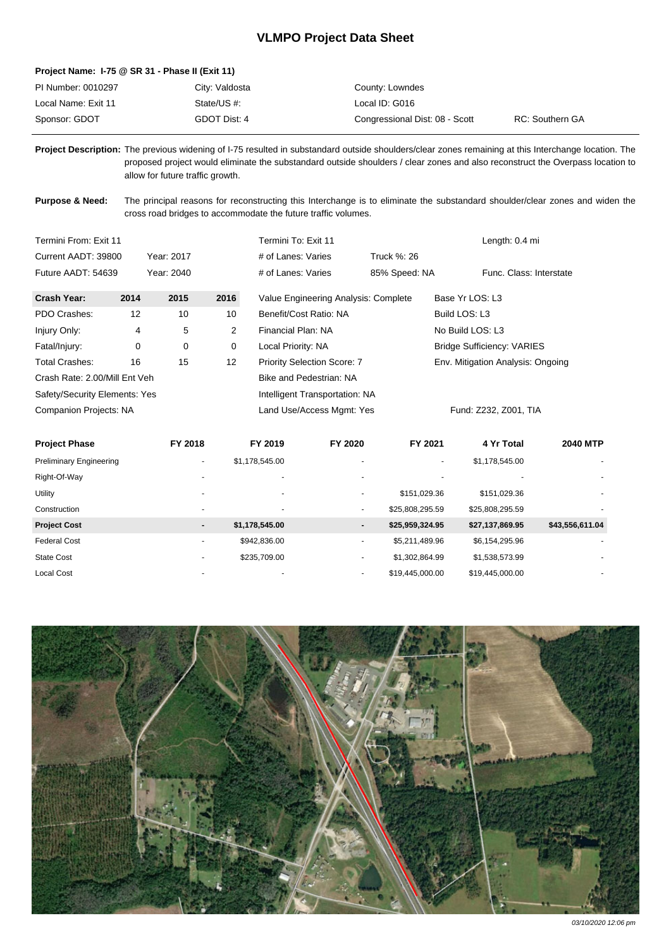## **VLMPO Project Data Sheet**

## **Project Name: I-75 @ SR 31 - Phase II (Exit 11)**

| PI Number: 0010297  | City: Valdosta | County: Lowndes                |                 |
|---------------------|----------------|--------------------------------|-----------------|
| Local Name: Exit 11 | State/US #:    | Local ID: G016                 |                 |
| Sponsor: GDOT       | GDOT Dist: 4   | Congressional Dist: 08 - Scott | RC: Southern GA |

**Project Description:** The previous widening of I-75 resulted in substandard outside shoulders/clear zones remaining at this Interchange location. The proposed project would eliminate the substandard outside shoulders / clear zones and also reconstruct the Overpass location to allow for future traffic growth.

Purpose & Need: The principal reasons for reconstructing this Interchange is to eliminate the substandard shoulder/clear zones and widen the cross road bridges to accommodate the future traffic volumes.

| Termini From: Exit 11         |      |            |                 | Termini To: Exit 11                  |                       | Length: 0.4 mi                    |
|-------------------------------|------|------------|-----------------|--------------------------------------|-----------------------|-----------------------------------|
| Current AADT: 39800           |      | Year: 2017 |                 | # of Lanes: Varies                   | Truck %: 26           |                                   |
| Future AADT: 54639            |      | Year: 2040 |                 | # of Lanes: Varies                   | 85% Speed: NA         | Func. Class: Interstate           |
| Crash Year:                   | 2014 | 2015       | 2016            | Value Engineering Analysis: Complete |                       | Base Yr LOS: L3                   |
| PDO Crashes:                  | 12   | 10         | 10              | Benefit/Cost Ratio: NA               |                       | Build LOS: L3                     |
| Injury Only:                  | 4    | 5          | $\overline{2}$  | Financial Plan: NA                   |                       | No Build LOS: L3                  |
| Fatal/Injury:                 | 0    | 0          | 0               | Local Priority: NA                   |                       | <b>Bridge Sufficiency: VARIES</b> |
| Total Crashes:                | 16   | 15         | 12 <sup>°</sup> | <b>Priority Selection Score: 7</b>   |                       | Env. Mitigation Analysis: Ongoing |
| Crash Rate: 2.00/Mill Ent Veh |      |            |                 | Bike and Pedestrian: NA              |                       |                                   |
| Safety/Security Elements: Yes |      |            |                 | Intelligent Transportation: NA       |                       |                                   |
| <b>Companion Projects: NA</b> |      |            |                 | Land Use/Access Mgmt: Yes            | Fund: Z232, Z001, TIA |                                   |

| <b>Project Phase</b>           | FY 2018                  | FY 2019                  | FY 2020                  | FY 2021                  | 4 Yr Total      | <b>2040 MTP</b> |
|--------------------------------|--------------------------|--------------------------|--------------------------|--------------------------|-----------------|-----------------|
| <b>Preliminary Engineering</b> | ۰                        | \$1,178,545.00           |                          | $\overline{\phantom{0}}$ | \$1,178,545.00  |                 |
| Right-Of-Way                   |                          | $\overline{\phantom{a}}$ |                          |                          |                 |                 |
| Utility                        |                          | $\sim$                   | $\overline{\phantom{0}}$ | \$151,029.36             | \$151,029.36    | ۰.              |
| Construction                   | ۰                        | $\overline{\phantom{a}}$ | ۰                        | \$25,808,295.59          | \$25,808,295.59 | ۰               |
| <b>Project Cost</b>            | ۰.                       | \$1,178,545.00           | ۰.                       | \$25,959,324.95          | \$27,137,869.95 | \$43,556,611.04 |
| <b>Federal Cost</b>            | ۰                        | \$942.836.00             | ٠                        | \$5,211,489.96           | \$6,154,295.96  |                 |
| <b>State Cost</b>              | $\overline{\phantom{0}}$ | \$235,709.00             | $\overline{\phantom{0}}$ | \$1,302,864.99           | \$1,538,573.99  | ۰               |
| <b>Local Cost</b>              |                          | $\overline{\phantom{0}}$ | ۰                        | \$19,445,000.00          | \$19,445,000.00 |                 |



03/10/2020 12:06 pm